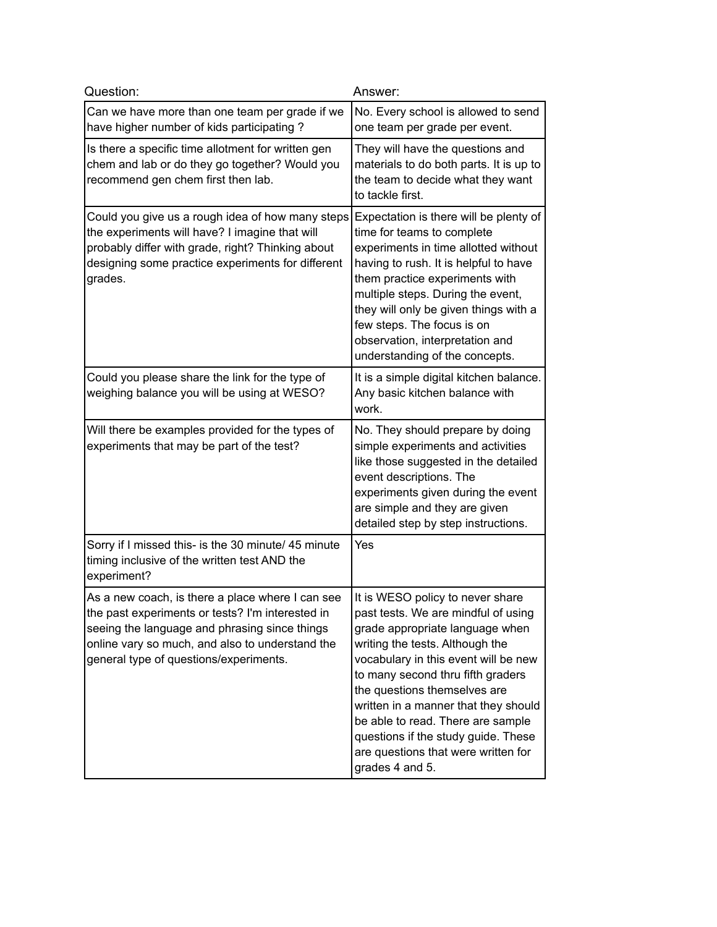| Question:                                                                                                                                                                                                                                          | Answer:                                                                                                                                                                                                                                                                                                                                                                                                                                  |
|----------------------------------------------------------------------------------------------------------------------------------------------------------------------------------------------------------------------------------------------------|------------------------------------------------------------------------------------------------------------------------------------------------------------------------------------------------------------------------------------------------------------------------------------------------------------------------------------------------------------------------------------------------------------------------------------------|
| Can we have more than one team per grade if we<br>have higher number of kids participating?                                                                                                                                                        | No. Every school is allowed to send<br>one team per grade per event.                                                                                                                                                                                                                                                                                                                                                                     |
| Is there a specific time allotment for written gen<br>chem and lab or do they go together? Would you<br>recommend gen chem first then lab.                                                                                                         | They will have the questions and<br>materials to do both parts. It is up to<br>the team to decide what they want<br>to tackle first.                                                                                                                                                                                                                                                                                                     |
| Could you give us a rough idea of how many steps<br>the experiments will have? I imagine that will<br>probably differ with grade, right? Thinking about<br>designing some practice experiments for different<br>grades.                            | Expectation is there will be plenty of<br>time for teams to complete<br>experiments in time allotted without<br>having to rush. It is helpful to have<br>them practice experiments with<br>multiple steps. During the event,<br>they will only be given things with a<br>few steps. The focus is on<br>observation, interpretation and<br>understanding of the concepts.                                                                 |
| Could you please share the link for the type of<br>weighing balance you will be using at WESO?                                                                                                                                                     | It is a simple digital kitchen balance.<br>Any basic kitchen balance with<br>work.                                                                                                                                                                                                                                                                                                                                                       |
| Will there be examples provided for the types of<br>experiments that may be part of the test?                                                                                                                                                      | No. They should prepare by doing<br>simple experiments and activities<br>like those suggested in the detailed<br>event descriptions. The<br>experiments given during the event<br>are simple and they are given<br>detailed step by step instructions.                                                                                                                                                                                   |
| Sorry if I missed this- is the 30 minute/ 45 minute<br>timing inclusive of the written test AND the<br>experiment?                                                                                                                                 | Yes                                                                                                                                                                                                                                                                                                                                                                                                                                      |
| As a new coach, is there a place where I can see<br>the past experiments or tests? I'm interested in<br>seeing the language and phrasing since things<br>online vary so much, and also to understand the<br>general type of questions/experiments. | It is WESO policy to never share<br>past tests. We are mindful of using<br>grade appropriate language when<br>writing the tests. Although the<br>vocabulary in this event will be new<br>to many second thru fifth graders<br>the questions themselves are<br>written in a manner that they should<br>be able to read. There are sample<br>questions if the study guide. These<br>are questions that were written for<br>grades 4 and 5. |